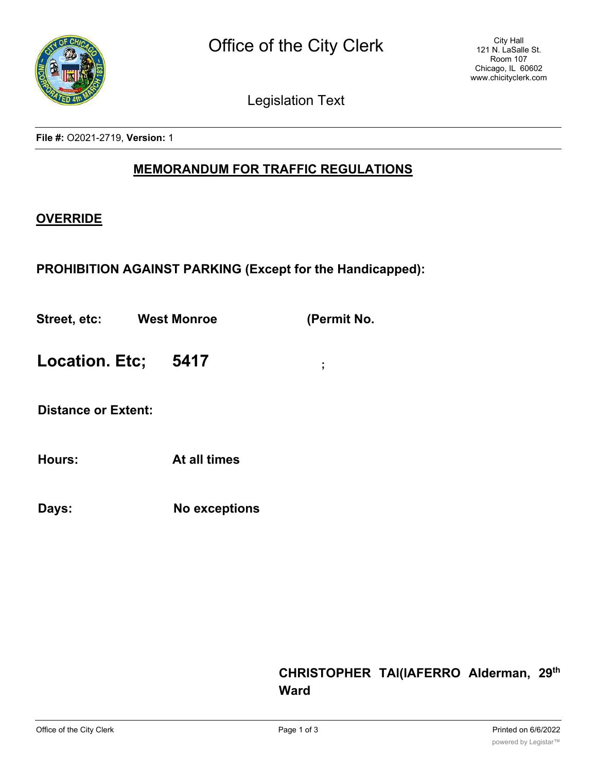

Legislation Text

**File #:** O2021-2719, **Version:** 1

## **MEMORANDUM FOR TRAFFIC REGULATIONS**

## **OVERRIDE**

**PROHIBITION AGAINST PARKING (Except for the Handicapped):**

**Street, etc: West Monroe (Permit No.**

**Location. Etc; 5417 ;**

**Distance or Extent:**

**Hours: At all times**

**Days: No exceptions**

## **CHRISTOPHER TAl(lAFERRO Alderman, 29th Ward**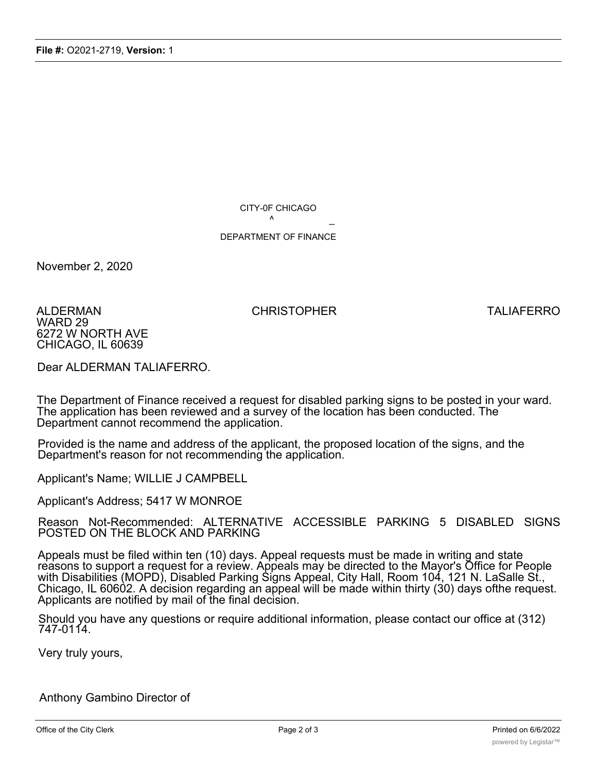CITY-0F CHICAGO  $\lambda$ 

## DEPARTMENT OF FINANCE

November 2, 2020

ALDERMAN CHRISTOPHER TALIAFERRO WARD 29 6272 W NORTH AVE CHICAGO, IL 60639

Dear ALDERMAN TALIAFERRO.

The Department of Finance received a request for disabled parking signs to be posted in your ward. The application has been reviewed and a survey of the location has been conducted. The Department cannot recommend the application.

Provided is the name and address of the applicant, the proposed location of the signs, and the Department's reason for not recommending the application.

Applicant's Name; WILLIE J CAMPBELL

Applicant's Address; 5417 W MONROE

Reason Not-Recommended: ALTERNATIVE ACCESSIBLE PARKING 5 DISABLED SIGNS POSTED ON THE BLOCK AND PARKING

Appeals must be filed within ten (10) days. Appeal requests must be made in writing and state reasons to support a request for a review. Appeals may be directed to the Mayor's Office for People with Disabilities (MOPD), Disabled Parking Signs Appeal, City Hall, Room 104, 121 N. LaSalle St., Chicago, IL 60602. A decision regarding an appeal will be made within thirty (30) days ofthe request. Applicants are notified by mail of the final decision.

Should you have any questions or require additional information, please contact our office at (312) 747-0114.

Very truly yours,

Anthony Gambino Director of